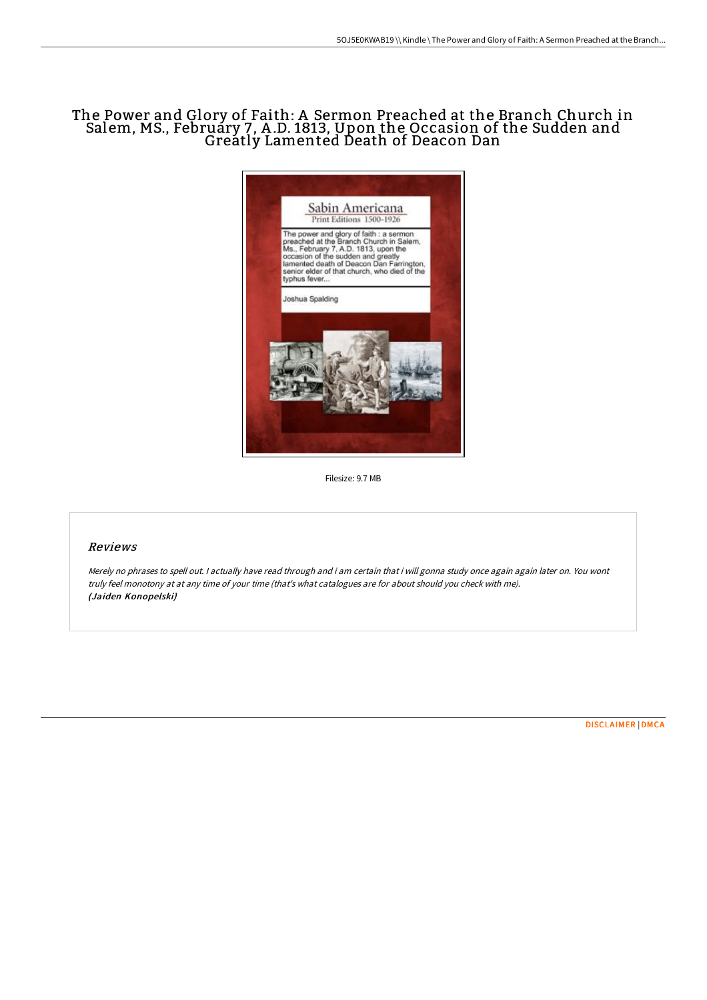# The Power and Glory of Faith: A Sermon Preached at the Branch Church in Salem, MS., February 7, A .D. 1813, Upon the Occasion of the Sudden and Greatly Lamented Death of Deacon Dan



Filesize: 9.7 MB

### Reviews

Merely no phrases to spell out. I actually have read through and i am certain that i will gonna study once again again later on. You wont truly feel monotony at at any time of your time (that's what catalogues are for about should you check with me). (Jaiden Konopelski)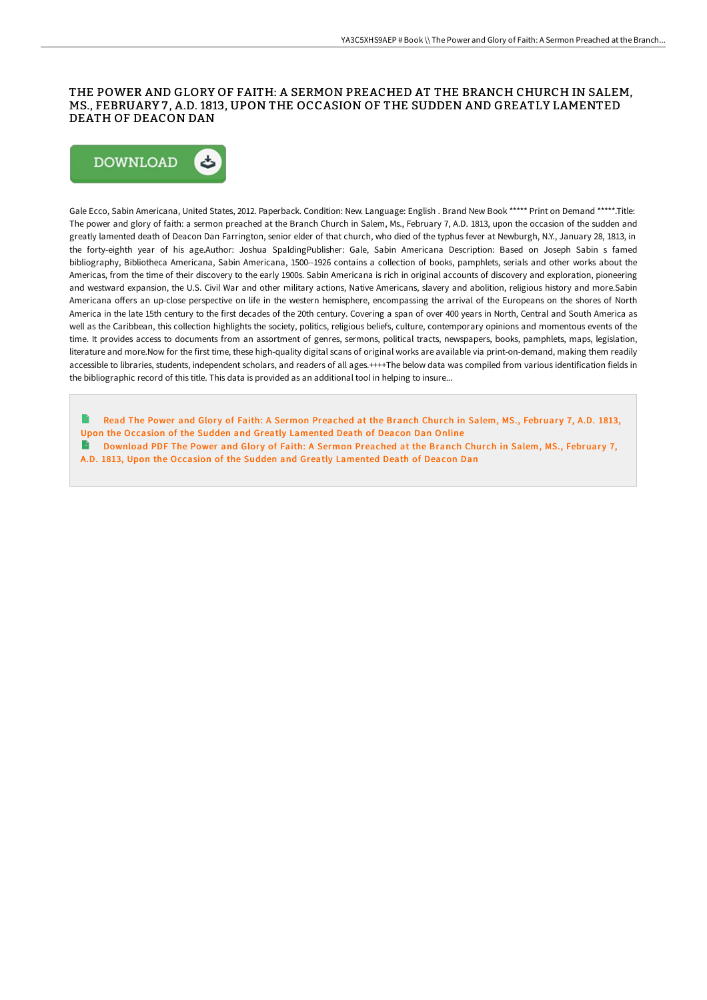### THE POWER AND GLORY OF FAITH: A SERMON PREACHED AT THE BRANCH CHURCH IN SALEM, MS., FEBRUARY 7 , A.D. 1813, UPON THE OCCASION OF THE SUDDEN AND GREATLY LAMENTED DEATH OF DEACON DAN



Gale Ecco, Sabin Americana, United States, 2012. Paperback. Condition: New. Language: English . Brand New Book \*\*\*\*\* Print on Demand \*\*\*\*\*.Title: The power and glory of faith: a sermon preached at the Branch Church in Salem, Ms., February 7, A.D. 1813, upon the occasion of the sudden and greatly lamented death of Deacon Dan Farrington, senior elder of that church, who died of the typhus fever at Newburgh, N.Y., January 28, 1813, in the forty-eighth year of his age.Author: Joshua SpaldingPublisher: Gale, Sabin Americana Description: Based on Joseph Sabin s famed bibliography, Bibliotheca Americana, Sabin Americana, 1500--1926 contains a collection of books, pamphlets, serials and other works about the Americas, from the time of their discovery to the early 1900s. Sabin Americana is rich in original accounts of discovery and exploration, pioneering and westward expansion, the U.S. Civil War and other military actions, Native Americans, slavery and abolition, religious history and more.Sabin Americana offers an up-close perspective on life in the western hemisphere, encompassing the arrival of the Europeans on the shores of North America in the late 15th century to the first decades of the 20th century. Covering a span of over 400 years in North, Central and South America as well as the Caribbean, this collection highlights the society, politics, religious beliefs, culture, contemporary opinions and momentous events of the time. It provides access to documents from an assortment of genres, sermons, political tracts, newspapers, books, pamphlets, maps, legislation, literature and more.Now for the first time, these high-quality digital scans of original works are available via print-on-demand, making them readily accessible to libraries, students, independent scholars, and readers of all ages.++++The below data was compiled from various identification fields in the bibliographic record of this title. This data is provided as an additional tool in helping to insure...

- Read The Power and Glory of Faith: A Sermon Preached at the Branch Church in Salem, MS., February 7, A.D. 1813, Upon the Occasion of the Sudden and Greatly [Lamented](http://bookera.tech/the-power-and-glory-of-faith-a-sermon-preached-a.html) Death of Deacon Dan Online
- B [Download](http://bookera.tech/the-power-and-glory-of-faith-a-sermon-preached-a.html) PDF The Power and Glory of Faith: A Sermon Preached at the Branch Church in Salem, MS., February 7, A.D. 1813, Upon the Occasion of the Sudden and Greatly Lamented Death of Deacon Dan